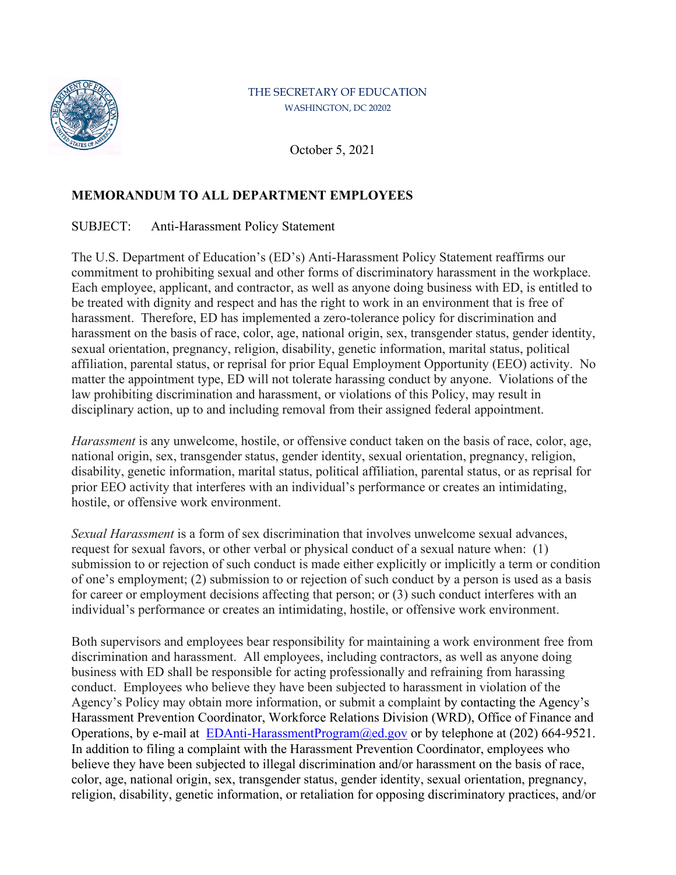

## THE SECRETARY OF EDUCATION WASHINGTON, DC 20202

October 5, 2021

## **MEMORANDUM TO ALL DEPARTMENT EMPLOYEES**

SUBJECT: Anti-Harassment Policy Statement

The U.S. Department of Education's (ED's) Anti-Harassment Policy Statement reaffirms our commitment to prohibiting sexual and other forms of discriminatory harassment in the workplace. Each employee, applicant, and contractor, as well as anyone doing business with ED, is entitled to be treated with dignity and respect and has the right to work in an environment that is free of harassment. Therefore, ED has implemented a zero-tolerance policy for discrimination and harassment on the basis of race, color, age, national origin, sex, transgender status, gender identity, sexual orientation, pregnancy, religion, disability, genetic information, marital status, political affiliation, parental status, or reprisal for prior Equal Employment Opportunity (EEO) activity. No matter the appointment type, ED will not tolerate harassing conduct by anyone. Violations of the law prohibiting discrimination and harassment, or violations of this Policy, may result in disciplinary action, up to and including removal from their assigned federal appointment.

*Harassment* is any unwelcome, hostile, or offensive conduct taken on the basis of race, color, age, national origin, sex, transgender status, gender identity, sexual orientation, pregnancy, religion, disability, genetic information, marital status, political affiliation, parental status, or as reprisal for prior EEO activity that interferes with an individual's performance or creates an intimidating, hostile, or offensive work environment.

*Sexual Harassment* is a form of sex discrimination that involves unwelcome sexual advances, request for sexual favors, or other verbal or physical conduct of a sexual nature when: (1) submission to or rejection of such conduct is made either explicitly or implicitly a term or condition of one's employment; (2) submission to or rejection of such conduct by a person is used as a basis for career or employment decisions affecting that person; or (3) such conduct interferes with an individual's performance or creates an intimidating, hostile, or offensive work environment.

Both supervisors and employees bear responsibility for maintaining a work environment free from discrimination and harassment. All employees, including contractors, as well as anyone doing business with ED shall be responsible for acting professionally and refraining from harassing conduct. Employees who believe they have been subjected to harassment in violation of the Agency's Policy may obtain more information, or submit a complaint by contacting the Agency's Harassment Prevention Coordinator, Workforce Relations Division (WRD), Office of Finance and Operations, by e-mail at  $EDAnti-HarasmentProgram@ed.gov$  or by telephone at (202) 664-9521. In addition to filing a complaint with the Harassment Prevention Coordinator, employees who believe they have been subjected to illegal discrimination and/or harassment on the basis of race, color, age, national origin, sex, transgender status, gender identity, sexual orientation, pregnancy, religion, disability, genetic information, or retaliation for opposing discriminatory practices, and/or